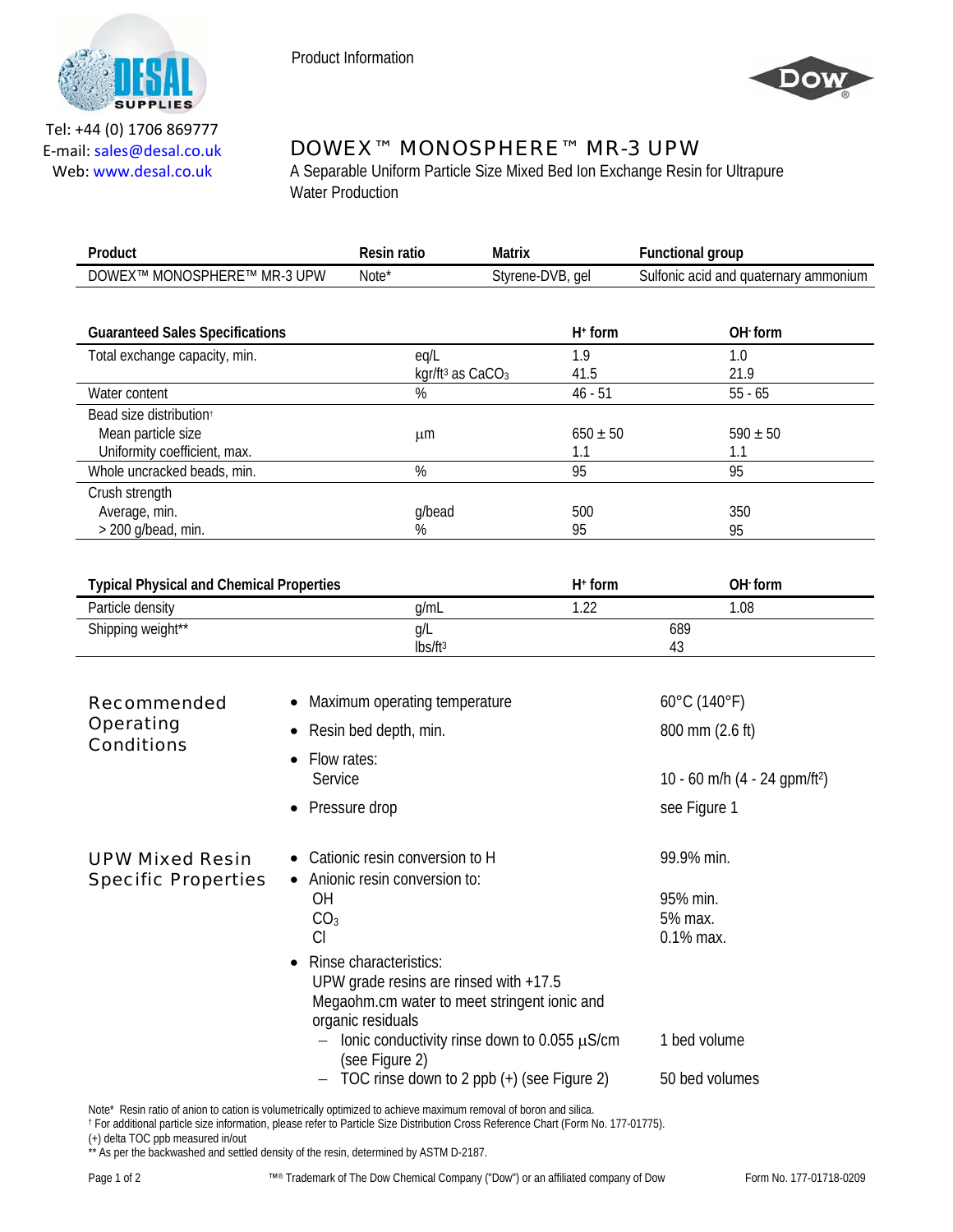



Tel: +44 (0) 1706 869777 E‐mail: sales@desal.co.uk Web: www.desal.co.uk

## DOWEX™ MONOSPHERE™ MR-3 UPW

A Separable Uniform Particle Size Mixed Bed Ion Exchange Resin for Ultrapure Water Production

| Product                                           | Resin ratio       | Matrix           | -unctional group                      |
|---------------------------------------------------|-------------------|------------------|---------------------------------------|
| <b>DOWEXT</b><br>MONOSPHERE™<br>MR-3 UPW<br>, IVI | Note <sup>*</sup> | Styrene-DVB, gel | Sulfonic acid and quaternary ammonium |
|                                                   |                   |                  |                                       |

| <b>Guaranteed Sales Specifications</b> |                                          | $H^+$ form   | OH form      |  |
|----------------------------------------|------------------------------------------|--------------|--------------|--|
| Total exchange capacity, min.          | eq/L                                     | 1.9          | 1.0          |  |
|                                        | kgr/ft <sup>3</sup> as CaCO <sub>3</sub> | 41.5         | 21.9         |  |
| Water content                          | %                                        | $46 - 51$    | $55 - 65$    |  |
| Bead size distribution <sup>+</sup>    |                                          |              |              |  |
| Mean particle size                     | μm                                       | $650 \pm 50$ | $590 \pm 50$ |  |
| Uniformity coefficient, max.           |                                          | 1.1          |              |  |
| Whole uncracked beads, min.            | %                                        | 95           | 95           |  |
| Crush strength                         |                                          |              |              |  |
| Average, min.                          | g/bead                                   | 500          | 350          |  |
| $>$ 200 g/bead, min.                   | %                                        | 95           | 95           |  |

| <b>Typical Physical and Chemical Properties</b> |                   | $H^+$ form      | OH form |
|-------------------------------------------------|-------------------|-----------------|---------|
| Particle density                                | a/mL              | $\sim$ 0.0<br>. | .08     |
| Shipping weight**                               | Q/L               | 689             |         |
|                                                 | $\text{lbs/ft}^3$ | 43              |         |

| <b>Recommended</b><br><b>Operating</b><br><b>Conditions</b> | Maximum operating temperature<br>Resin bed depth, min.                                                                                          | $60^{\circ}$ C (140 $^{\circ}$ F)<br>800 mm (2.6 ft) |
|-------------------------------------------------------------|-------------------------------------------------------------------------------------------------------------------------------------------------|------------------------------------------------------|
|                                                             | Flow rates:<br>$\bullet$<br>Service                                                                                                             | 10 - 60 m/h (4 - 24 gpm/ft <sup>2</sup> )            |
|                                                             | Pressure drop<br>$\bullet$                                                                                                                      | see Figure 1                                         |
| <b>UPW Mixed Resin</b><br><b>Specific Properties</b>        | • Cationic resin conversion to H<br>Anionic resin conversion to:<br>$\bullet$                                                                   | 99.9% min.                                           |
|                                                             | OΗ<br>CO <sub>3</sub>                                                                                                                           | 95% min.<br>5% max.                                  |
|                                                             | CI<br>• Rinse characteristics:<br>UPW grade resins are rinsed with $+17.5$<br>Megaohm.cm water to meet stringent ionic and<br>organic residuals | $0.1\%$ max.                                         |
|                                                             | Ionic conductivity rinse down to 0.055 $\mu$ S/cm<br>$\qquad \qquad -$<br>(see Figure 2)                                                        | 1 bed volume                                         |
|                                                             | TOC rinse down to 2 ppb (+) (see Figure 2)<br>$\qquad \qquad -$                                                                                 | 50 bed volumes                                       |

Note\* Resin ratio of anion to cation is volumetrically optimized to achieve maximum removal of boron and silica.<br>† For additional particle size information, please refer to Particle Size Distribution Cross Reference Chart

(+) delta TOC ppb measured in/out

\*\* As per the backwashed and settled density of the resin, determined by ASTM D-2187.